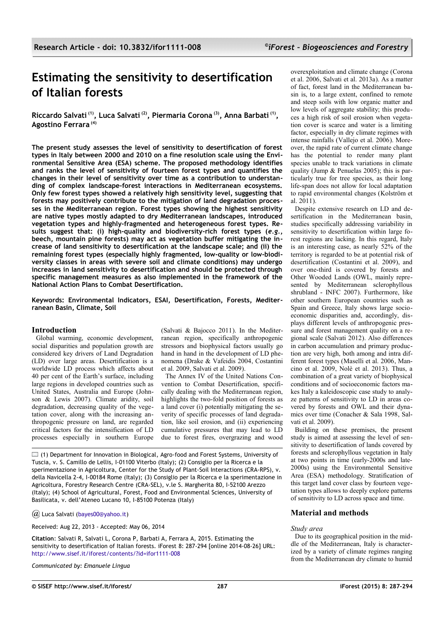# **Estimating the sensitivity to desertification of Italian forests**

**Riccardo Salvati (1), Luca Salvati (2), Piermaria Corona (3), Anna Barbati (1) , Agostino Ferrara (4)** 

**The present study assesses the level of sensitivity to desertification of forest types in Italy between 2000 and 2010 on a fine resolution scale using the Environmental Sensitive Area (ESA) scheme. The proposed methodology identifies and ranks the level of sensitivity of fourteen forest types and quantifies the changes in their level of sensitivity over time as a contribution to understanding of complex landscape-forest interactions in Mediterranean ecosystems. Only few forest types showed a relatively high sensitivity level, suggesting that forests may positively contribute to the mitigation of land degradation processes in the Mediterranean region. Forest types showing the highest sensitivity are native types mostly adapted to dry Mediterranean landscapes, introduced vegetation types and highly-fragmented and heterogeneous forest types. Results suggest that: (i) high-quality and biodiversity-rich forest types (***e.g.***, beech, mountain pine forests) may act as vegetation buffer mitigating the increase of land sensitivity to desertification at the landscape scale; and (ii) the remaining forest types (especially highly fragmented, low-quality or low-biodiversity classes in areas with severe soil and climate conditions) may undergo increases in land sensitivity to desertification and should be protected through specific management measures as also implemented in the framework of the National Action Plans to Combat Desertification.**

**Keywords: Environmental Indicators, ESAI, Desertification, Forests, Mediterranean Basin, Climate, Soil**

# **Introduction**

Global warming, economic development, social disparities and population growth are considered key drivers of Land Degradation (LD) over large areas. Desertification is a worldwide LD process which affects about 40 per cent of the Earth's surface, including large regions in developed countries such as United States, Australia and Europe (Johnson & Lewis 2007). Climate aridity, soil degradation, decreasing quality of the vegetation cover, along with the increasing anthropogenic pressure on land, are regarded critical factors for the intensification of LD processes especially in southern Europe

(Salvati & Bajocco 2011). In the Mediterranean region, specifically anthropogenic stressors and biophysical factors usually go hand in hand in the development of LD phenomena (Drake & Vafeidis 2004, Costantini et al. 2009, Salvati et al. 2009).

The Annex IV of the United Nations Convention to Combat Desertification, specifically dealing with the Mediterranean region, highlights the two-fold position of forests as a land cover (i) potentially mitigating the severity of specific processes of land degradation, like soil erosion, and (ii) experiencing cumulative pressures that may lead to LD due to forest fires, overgrazing and wood

 $\Box$  (1) Department for Innovation in Biological, Agro-food and Forest Systems, University of Tuscia, v. S. Camillo de Lellis, I-01100 Viterbo (Italy); (2) Consiglio per la Ricerca e la sperimentazione in Agricoltura, Center for the Study of Plant-Soil Interactions (CRA-RPS), v. della Navicella 2-4, I-00184 Rome (Italy); (3) Consiglio per la Ricerca e la sperimentazione in Agricoltura, Forestry Research Centre (CRA-SEL), v.le S. Margherita 80, I-52100 Arezzo (Italy); (4) School of Agricultural, Forest, Food and Environmental Sciences, University of Basilicata, v. dell'Ateneo Lucano 10, I-85100 Potenza (Italy)

*@* Luca Salvati [\(bayes00@yahoo.it\)](mailto:)

Received: Aug 22, 2013 - Accepted: May 06, 2014

**Citation**: Salvati R, Salvati L, Corona P, Barbati A, Ferrara A, 2015. Estimating the sensitivity to desertification of Italian forests. iForest 8: 287-294 [online 2014-08-26] URL: <http://www.sisef.it/iforest/contents/?id=ifor1111-008>

*Communicated by: Emanuele Lingua*

overexploitation and climate change (Corona et al. 2006, Salvati et al. 2013a). As a matter of fact, forest land in the Mediterranean basin is, to a large extent, confined to remote and steep soils with low organic matter and low levels of aggregate stability; this produces a high risk of soil erosion when vegetation cover is scarce and water is a limiting factor, especially in dry climate regimes with intense rainfalls (Vallejo et al. 2006). Moreover, the rapid rate of current climate change has the potential to render many plant species unable to track variations in climate quality (Jump & Penuelas 2005); this is particularly true for tree species, as their long life-span does not allow for local adaptation to rapid environmental changes (Kolström et al.  $2011$ ).

Despite extensive research on LD and desertification in the Mediterranean basin, studies specifically addressing variability in sensitivity to desertification within large forest regions are lacking. In this regard, Italy is an interesting case, as nearly 52% of the territory is regarded to be at potential risk of desertification (Costantini et al. 2009), and over one-third is covered by forests and Other Wooded Lands (OWL, mainly represented by Mediterranean sclerophyllous shrubland - INFC 2007). Furthermore, like other southern European countries such as Spain and Greece, Italy shows large socioeconomic disparities and, accordingly, displays different levels of anthropogenic pressure and forest management quality on a regional scale (Salvati 2012). Also differences in carbon accumulation and primary production are very high, both among and intra different forest types (Maselli et al. 2006, Mancino et al. 2009, Nolè et al. 2013). Thus, a combination of a great variety of biophysical conditions and of socioeconomic factors makes Italy a kaleidoscopic case study to analyze patterns of sensitivity to LD in areas covered by forests and OWL and their dynamics over time (Conacher & Sala 1998, Salvati et al. 2009).

Building on these premises, the present study is aimed at assessing the level of sensitivity to desertification of lands covered by forests and sclerophyllous vegetation in Italy at two points in time (early-2000s and late-2000s) using the Environmental Sensitive Area (ESA) methodology. Stratification of this target land cover class by fourteen vegetation types allows to deeply explore patterns of sensitivity to LD across space and time.

# **Material and methods**

## *Study area*

Due to its geographical position in the middle of the Mediterranean, Italy is characterized by a variety of climate regimes ranging from the Mediterranean dry climate to humid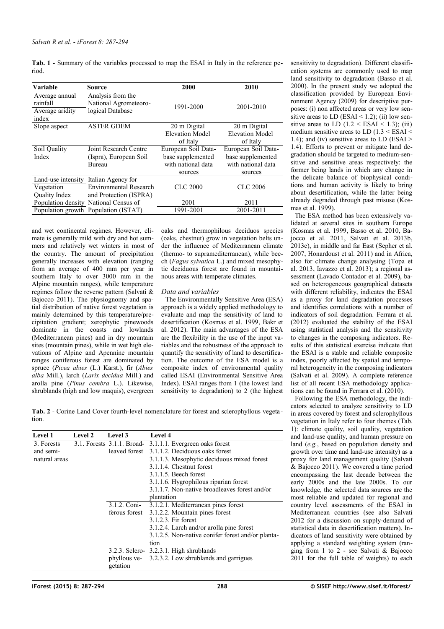<span id="page-1-0"></span>**Tab. 1** - Summary of the variables processed to map the ESAI in Italy in the reference period.

| Variable                                               | Source                                                         | 2000                | 2010                   |  |  |
|--------------------------------------------------------|----------------------------------------------------------------|---------------------|------------------------|--|--|
| Average annual<br>rainfall<br>Average aridity<br>index | Analysis from the<br>National Agrometeoro-<br>logical Database | 1991-2000           | 2001-2010              |  |  |
| Slope aspect                                           | <b>ASTER GDEM</b>                                              | 20 m Digital        | 20 m Digital           |  |  |
|                                                        |                                                                | Elevation Model     | <b>Elevation Model</b> |  |  |
|                                                        |                                                                | of Italy            | of Italy               |  |  |
| Soil Quality                                           | Joint Research Centre                                          | European Soil Data- | European Soil Data-    |  |  |
| Index                                                  | (Ispra), European Soil                                         | base supplemented   | base supplemented      |  |  |
|                                                        | Bureau                                                         | with national data  | with national data     |  |  |
|                                                        |                                                                | sources             | sources                |  |  |
| Land-use intensity                                     | Italian Agency for                                             |                     |                        |  |  |
| Vegetation                                             | <b>Environmental Research</b>                                  | <b>CLC 2000</b>     | <b>CLC 2006</b>        |  |  |
| <b>Ouality Index</b>                                   | and Protection (ISPRA)                                         |                     |                        |  |  |
|                                                        | Population density National Census of                          | 2001                | 2011                   |  |  |
|                                                        | Population growth Population (ISTAT)                           | 1991-2001           | 2001-2011              |  |  |

and wet continental regimes. However, climate is generally mild with dry and hot summers and relatively wet winters in most of the country. The amount of precipitation generally increases with elevation (ranging from an average of 400 mm per year in southern Italy to over 3000 mm in the Alpine mountain ranges), while temperature regimes follow the reverse pattern (Salvati & Bajocco 2011). The physiognomy and spatial distribution of native forest vegetation is mainly determined by this temperature/precipitation gradient; xerophytic pinewoods dominate in the coasts and lowlands (Mediterranean pines) and in dry mountain sites (mountain pines), while in wet high elevations of Alpine and Apennine mountain ranges coniferous forest are dominated by spruce (*Picea abies* (L.) Karst.), fir (*Abies alba* Mill.), larch (*Larix decidua* Mill.) and arolla pine (*Pinus cembra* L.). Likewise, shrublands (high and low maquis), evergreen

oaks and thermophilous deciduos species (oaks, chestnut) grow in vegetation belts under the influence of Mediterranean climate (thermo- to supramediterranean), while beech (*Fagus sylvatica* L.) and mixed mesophytic deciduous forest are found in mountainous areas with temperate climates.

## *Data and variables*

The Environmentally Sensitive Area (ESA) approach is a widely applied methodology to evaluate and map the sensitivity of land to desertification (Kosmas et al. 1999, Bakr et al. 2012). The main advantages of the ESA are the flexibility in the use of the input variables and the robustness of the approach to quantify the sensitivity of land to desertification. The outcome of the ESA model is a composite index of environmental quality called ESAI (Environmental Sensitive Area Index). ESAI ranges from 1 (the lowest land sensitivity to degradation) to 2 (the highest

<span id="page-1-1"></span>**Tab. 2** - Corine Land Cover fourth-level nomenclature for forest and sclerophyllous vegetation.

| Level 1       | Level 2 | Level 3      | <b>Level 4</b>                                            |
|---------------|---------|--------------|-----------------------------------------------------------|
| 3. Forests    |         |              | 3.1. Forests 3.1.1. Broad- 3.1.1.1. Evergreen oaks forest |
| and semi-     |         |              | leaved forest 3.1.1.2. Deciduous oaks forest              |
| natural areas |         |              | 3.1.1.3. Mesophytic deciduous mixed forest                |
|               |         |              | 3.1.1.4. Chestnut forest                                  |
|               |         |              | $3.1.1.5$ . Beech forest                                  |
|               |         |              | 3.1.1.6. Hygrophilous riparian forest                     |
|               |         |              | 3.1.1.7. Non-native broadleaves forest and/or             |
|               |         |              | plantation                                                |
|               |         | 3.1.2. Coni- | 3.1.2.1. Mediterranean pines forest                       |
|               |         |              | ferous forest 3.1.2.2. Mountain pines forest              |
|               |         |              | 3.1.2.3. Fir forest                                       |
|               |         |              | 3.1.2.4. Larch and/or arolla pine forest                  |
|               |         |              | 3.1.2.5. Non-native conifer forest and/or planta-         |
|               |         |              | tion                                                      |
|               |         |              | $3.2.3$ . Sclero- $3.2.3.1$ . High shrublands             |
|               |         |              | phyllous ve- 3.2.3.2. Low shrublands and garrigues        |
|               |         | getation     |                                                           |

sensitivity to degradation). Different classification systems are commonly used to map land sensitivity to degradation (Basso et al. 2000). In the present study we adopted the classification provided by European Environment Agency (2009) for descriptive purposes: (i) non affected areas or very low sensitive areas to LD (ESAI < 1.2); (ii) low sensitive areas to LD  $(1.2 \leq$  ESAI  $\leq$  1.3); (iii) medium sensitive areas to LD  $(1.3 \leq$  ESAI  $\leq$ 1.4); and (iv) sensitive areas to LD (ESAI  $>$ 1.4). Efforts to prevent or mitigate land degradation should be targeted to medium-sensitive and sensitive areas respectively: the former being lands in which any change in the delicate balance of biophysical conditions and human activity is likely to bring about desertification, while the latter being already degraded through past misuse (Kosmas et al. 1999).

The ESA method has been extensively validated at several sites in southern Europe (Kosmas et al. 1999, Basso et al. 2010, Bajocco et al. 2011, Salvati et al. 2013b, 2013c), in middle and far East (Sepher et al. 2007, Honardoust et al. 2011) and in Africa, also for climate change analysing (Topa et al. 2013, Iavazzo et al. 2013); a regional assessment (Lavado Contador et al. 2009), based on heterogeneous geographical datasets with different reliability, indicates the ESAI as a proxy for land degradation processes and identifies correlations with a number of indicators of soil degradation. Ferrara et al. (2012) evaluated the stability of the ESAI using statistical analysis and the sensitivity to changes in the composing indicators. Results of this statistical exercise indicate that the ESAI is a stable and reliable composite index, poorly affected by spatial and temporal heterogeneity in the composing indicators (Salvati et al. 2009). A complete reference list of all recent ESA methodology applications can be found in Ferrara et al. (2010).

Following the ESA methodology, the indicators selected to analyze sensitivity to LD in areas covered by forest and sclerophyllous vegetation in Italy refer to four themes [\(Tab.](#page-1-0) [1\)](#page-1-0): climate quality, soil quality, vegetation and land-use quality, and human pressure on land (*e.g.*, based on population density and growth over time and land-use intensity) as a proxy for land management quality (Salvati & Bajocco 2011). We covered a time period encompassing the last decade between the early 2000s and the late 2000s. To our knowledge, the selected data sources are the most reliable and updated for regional and country level assessments of the ESAI in Mediterranean countries (see also Salvati 2012 for a discussion on supply-demand of statistical data in desertification matters). Indicators of land sensitivity were obtained by applying a standard weighting system (ranging from 1 to 2 - see Salvati & Bajocco 2011 for the full table of weights) to each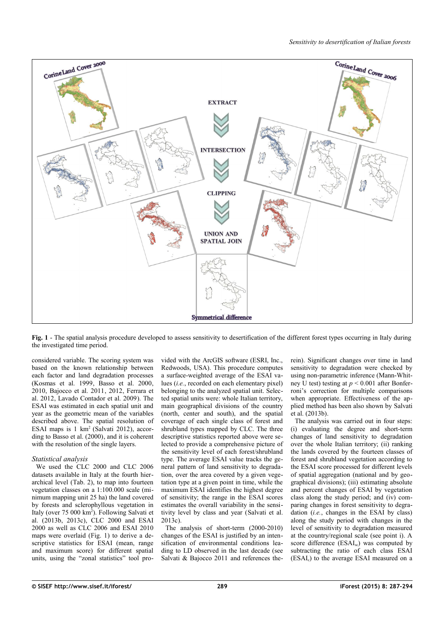

<span id="page-2-0"></span>Fig. 1 - The spatial analysis procedure developed to assess sensitivity to desertification of the different forest types occurring in Italy during the investigated time period.

considered variable. The scoring system was based on the known relationship between each factor and land degradation processes (Kosmas et al. 1999, Basso et al. 2000, 2010, Bajocco et al. 2011, 2012, Ferrara et al. 2012, Lavado Contador et al. 2009). The ESAI was estimated in each spatial unit and year as the geometric mean of the variables described above. The spatial resolution of ESAI maps is 1 km<sup>2</sup> (Salvati 2012), according to Basso et al. (2000), and it is coherent with the resolution of the single layers.

## *Statistical analysis*

We used the CLC 2000 and CLC 2006 datasets available in Italy at the fourth hierarchical level [\(Tab. 2\)](#page-1-1), to map into fourteen vegetation classes on a 1:100.000 scale (minimum mapping unit 25 ha) the land covered by forests and sclerophyllous vegetation in Italy (over 75 000 km<sup>2</sup>). Following Salvati et al. (2013b, 2013c), CLC 2000 and ESAI 2000 as well as CLC 2006 and ESAI 2010 maps were overlaid [\(Fig. 1\)](#page-2-0) to derive a descriptive statistics for ESAI (mean, range and maximum score) for different spatial units, using the "zonal statistics" tool provided with the ArcGIS software (ESRI, Inc., Redwoods, USA). This procedure computes a surface-weighted average of the ESAI values (*i.e.*, recorded on each elementary pixel) belonging to the analyzed spatial unit. Selected spatial units were: whole Italian territory, main geographical divisions of the country (north, center and south), and the spatial coverage of each single class of forest and shrubland types mapped by CLC. The three descriptive statistics reported above were selected to provide a comprehensive picture of the sensitivity level of each forest/shrubland type. The average ESAI value tracks the general pattern of land sensitivity to degradation, over the area covered by a given vegetation type at a given point in time, while the maximum ESAI identifies the highest degree of sensitivity; the range in the ESAI scores estimates the overall variability in the sensitivity level by class and year (Salvati et al. 2013c).

The analysis of short-term (2000-2010) changes of the ESAI is justified by an intensification of environmental conditions leading to LD observed in the last decade (see Salvati & Bajocco 2011 and references therein). Significant changes over time in land sensitivity to degradation were checked by using non-parametric inference (Mann-Whitney U test) testing at *p* < 0.001 after Bonferroni's correction for multiple comparisons when appropriate. Effectiveness of the applied method has been also shown by Salvati  $\text{et al.}$  (2013b).

The analysis was carried out in four steps: (i) evaluating the degree and short-term changes of land sensitivity to degradation over the whole Italian territory; (ii) ranking the lands covered by the fourteen classes of forest and shrubland vegetation according to the ESAI score processed for different levels of spatial aggregation (national and by geographical divisions); (iii) estimating absolute and percent changes of ESAI by vegetation class along the study period; and (iv) comparing changes in forest sensitivity to degradation (*i.e.*, changes in the ESAI by class) along the study period with changes in the level of sensitivity to degradation measured at the country/regional scale (see point i). A score difference  $(ESAI<sub>sc</sub>)$  was computed by subtracting the ratio of each class ESAI (ESAI<sub>c</sub>) to the average ESAI measured on a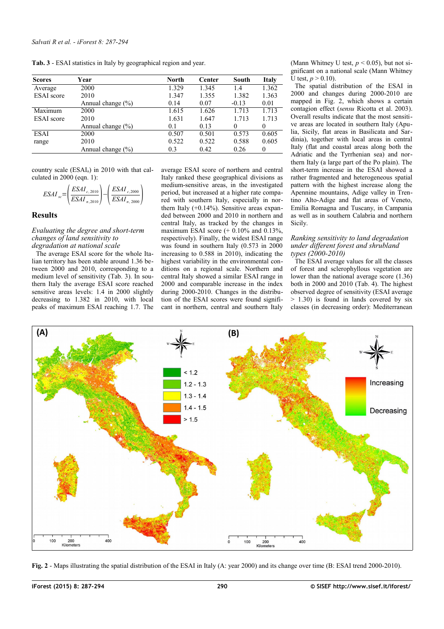<span id="page-3-1"></span>**Tab. 3** - ESAI statistics in Italy by geographical region and year.

| <b>Scores</b>     | Year                  | North | Center | South    | <b>Italy</b> |
|-------------------|-----------------------|-------|--------|----------|--------------|
| Average           | 2000                  | 1.329 | 1.345  | 1.4      | 1.362        |
| <b>ESAI</b> score | 2010                  | 1.347 | 1.355  | 1.382    | 1.363        |
|                   | Annual change $(\% )$ | 0.14  | 0.07   | $-0.13$  | 0.01         |
| Maximum           | 2000                  | 1.615 | 1.626  | 1.713    | 1.713        |
| <b>ESAI</b> score | 2010                  | 1.631 | 1.647  | 1.713    | 1.713        |
|                   | Annual change $(\% )$ | 0.1   | 0.13   | $\Omega$ |              |
| <b>ESAI</b>       | 2000                  | 0.507 | 0.501  | 0.573    | 0.605        |
| range             | 2010                  | 0.522 | 0.522  | 0.588    | 0.605        |
|                   | Annual change $(\% )$ | 0.3   | 0.42   | 0.26     | $\Omega$     |

country scale  $(ESAI_n)$  in 2010 with that calculated in 2000 (eqn. 1):

$$
ESAI_{sc} = \left(\frac{ESAI_{c,2010}}{ESAI_{n,2010}}\right) - \left(\frac{ESAI_{c,2000}}{ESAI_{n,2000}}\right)
$$

# **Results**

### *Evaluating the degree and short-term changes of land sensitivity to degradation at national scale*

The average ESAI score for the whole Italian territory has been stable around 1.36 between 2000 and 2010, corresponding to a medium level of sensitivity [\(Tab. 3\)](#page-3-1). In southern Italy the average ESAI score reached sensitive areas levels: 1.4 in 2000 slightly decreasing to 1.382 in 2010, with local peaks of maximum ESAI reaching 1.7. The average ESAI score of northern and central Italy ranked these geographical divisions as medium-sensitive areas, in the investigated period, but increased at a higher rate compared with southern Italy, especially in northern Italy (+0.14%). Sensitive areas expanded between 2000 and 2010 in northern and central Italy, as tracked by the changes in maximum ESAI score  $(+ 0.10\%$  and  $0.13\%$ , respectively). Finally, the widest ESAI range was found in southern Italy (0.573 in 2000 increasing to 0.588 in 2010), indicating the highest variability in the environmental conditions on a regional scale. Northern and central Italy showed a similar ESAI range in 2000 and comparable increase in the index during 2000-2010. Changes in the distribution of the ESAI scores were found significant in northern, central and southern Italy

(Mann Whitney U test,  $p < 0.05$ ), but not significant on a national scale (Mann Whitney U test,  $p > 0.10$ ).

The spatial distribution of the ESAI in 2000 and changes during 2000-2010 are mapped in [Fig. 2,](#page-3-0) which shows a certain contagion effect (*sensu* Ricotta et al. 2003). Overall results indicate that the most sensitive areas are located in southern Italy (Apulia, Sicily, flat areas in Basilicata and Sardinia), together with local areas in central Italy (flat and coastal areas along both the Adriatic and the Tyrrhenian sea) and northern Italy (a large part of the Po plain). The short-term increase in the ESAI showed a rather fragmented and heterogeneous spatial pattern with the highest increase along the Apennine mountains, Adige valley in Trentino Alto-Adige and flat areas of Veneto, Emilia Romagna and Tuscany, in Campania as well as in southern Calabria and northern Sicily.

#### *Ranking sensitivity to land degradation under different forest and shrubland types (2000-2010)*

The ESAI average values for all the classes of forest and sclerophyllous vegetation are lower than the national average score (1.36) both in 2000 and 2010 [\(Tab. 4\)](#page-4-0). The highest observed degree of sensitivity (ESAI average  $> 1.30$ ) is found in lands covered by six classes (in decreasing order): Mediterranean



<span id="page-3-0"></span>**Fig. 2** - Maps illustrating the spatial distribution of the ESAI in Italy (A: year 2000) and its change over time (B: ESAI trend 2000-2010).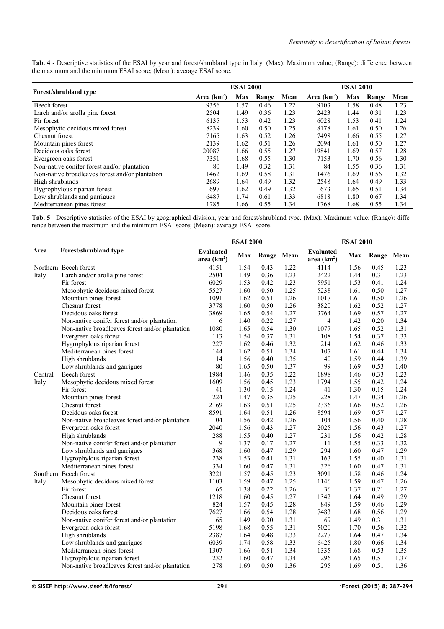<span id="page-4-0"></span>**Tab. 4** - Descriptive statistics of the ESAI by year and forest/shrubland type in Italy. (Max): Maximum value; (Range): difference between the maximum and the minimum ESAI score; (Mean): average ESAI score.

|                                                 | <b>ESAI 2000</b> |      |       |      | <b>ESAI 2010</b> |      |       |      |
|-------------------------------------------------|------------------|------|-------|------|------------------|------|-------|------|
| <b>Forest/shrubland type</b>                    | Area $(km^2)$    | Max  | Range | Mean | Area $(km^2)$    | Max  | Range | Mean |
| Beech forest                                    | 9356             | 1.57 | 0.46  | 1.22 | 9103             | 1.58 | 0.48  | 1.23 |
| Larch and/or arolla pine forest                 | 2504             | 1.49 | 0.36  | 1.23 | 2423             | 1.44 | 0.31  | 1.23 |
| Fir forest                                      | 6135             | 1.53 | 0.42  | 1.23 | 6028             | 1.53 | 0.41  | 1.24 |
| Mesophytic decidous mixed forest                | 8239             | 1.60 | 0.50  | 1.25 | 8178             | 1.61 | 0.50  | 1.26 |
| Chesnut forest                                  | 7165             | 1.63 | 0.52  | 1.26 | 7498             | 1.66 | 0.55  | 1.27 |
| Mountain pines forest                           | 2139             | 1.62 | 0.51  | 1.26 | 2094             | 1.61 | 0.50  | 1.27 |
| Decidous oaks forest                            | 20087            | 1.66 | 0.55  | 1.27 | 19841            | 1.69 | 0.57  | 1.28 |
| Evergreen oaks forest                           | 7351             | 1.68 | 0.55  | 1.30 | 7153             | 1.70 | 0.56  | 1.30 |
| Non-native conifer forest and/or plantation     | 80               | 1.49 | 0.32  | 1.31 | 84               | 1.55 | 0.36  | 1.31 |
| Non-native broadleaves forest and/or plantation | 1462             | 1.69 | 0.58  | 1.31 | 1476             | 1.69 | 0.56  | 1.32 |
| High shrublands                                 | 2689             | 1.64 | 0.49  | 1.32 | 2548             | 1.64 | 0.49  | 1.33 |
| Hygrophylous riparian forest                    | 697              | 1.62 | 0.49  | 1.32 | 673              | 1.65 | 0.51  | 1.34 |
| Low shrublands and garrigues                    | 6487             | 1.74 | 0.61  | 1.33 | 6818             | 1.80 | 0.67  | 1.34 |
| Mediterranean pines forest                      | 1785             | 1.66 | 0.55  | 1.34 | 1768             | 1.68 | 0.55  | 1.34 |

<span id="page-4-1"></span>**Tab. 5** - Descriptive statistics of the ESAI by geographical division, year and forest/shrubland type. (Max): Maximum value; (Range): diffe rence between the maximum and the minimum ESAI score; (Mean): average ESAI score.

|         |                                                 | <b>ESAI 2000</b>                 |      |            |      | <b>ESAI 2010</b>                 |      |            |      |  |
|---------|-------------------------------------------------|----------------------------------|------|------------|------|----------------------------------|------|------------|------|--|
| Area    | Forest/shrubland type                           | <b>Evaluated</b><br>area $(km2)$ | Max  | Range Mean |      | <b>Evaluated</b><br>area $(km2)$ | Max  | Range Mean |      |  |
|         | Northern Beech forest                           | 4151                             | 1.54 | 0.43       | 1.22 | 4114                             | 1.56 | 0.45       | 1.23 |  |
| Italy   | Larch and/or arolla pine forest                 | 2504                             | 1.49 | 0.36       | 1.23 | 2422                             | 1.44 | 0.31       | 1.23 |  |
|         | Fir forest                                      | 6029                             | 1.53 | 0.42       | 1.23 | 5951                             | 1.53 | 0.41       | 1.24 |  |
|         | Mesophytic decidous mixed forest                | 5527                             | 1.60 | 0.50       | 1.25 | 5238                             | 1.61 | 0.50       | 1.27 |  |
|         | Mountain pines forest                           | 1091                             | 1.62 | 0.51       | 1.26 | 1017                             | 1.61 | 0.50       | 1.26 |  |
|         | Chesnut forest                                  | 3778                             | 1.60 | 0.50       | 1.26 | 3820                             | 1.62 | 0.52       | 1.27 |  |
|         | Decidous oaks forest                            | 3869                             | 1.65 | 0.54       | 1.27 | 3764                             | 1.69 | 0.57       | 1.27 |  |
|         | Non-native conifer forest and/or plantation     | 6                                | 1.40 | 0.22       | 1.27 | $\overline{4}$                   | 1.42 | 0.20       | 1.34 |  |
|         | Non-native broadleaves forest and/or plantation | 1080                             | 1.65 | 0.54       | 1.30 | 1077                             | 1.65 | 0.52       | 1.31 |  |
|         | Evergreen oaks forest                           | 113                              | 1.54 | 0.37       | 1.31 | 108                              | 1.54 | 0.37       | 1.33 |  |
|         | Hygrophylous riparian forest                    | 227                              | 1.62 | 0.46       | 1.32 | 214                              | 1.62 | 0.46       | 1.33 |  |
|         | Mediterranean pines forest                      | 144                              | 1.62 | 0.51       | 1.34 | 107                              | 1.61 | 0.44       | 1.34 |  |
|         | High shrublands                                 | 14                               | 1.56 | 0.40       | 1.35 | 40                               | 1.59 | 0.44       | 1.39 |  |
|         | Low shrublands and garrigues                    | 80                               | 1.65 | 0.50       | 1.37 | 99                               | 1.69 | 0.53       | 1.40 |  |
| Central | Beech forest                                    | 1984                             | 1.46 | 0.35       | 1.22 | 1898                             | 1.46 | 0.33       | 1.23 |  |
| Italy   | Mesophytic decidous mixed forest                | 1609                             | 1.56 | 0.45       | 1.23 | 1794                             | 1.55 | 0.42       | 1.24 |  |
|         | Fir forest                                      | 41                               | 1.30 | 0.15       | 1.24 | 41                               | 1.30 | 0.15       | 1.24 |  |
|         | Mountain pines forest                           | 224                              | 1.47 | 0.35       | 1.25 | 228                              | 1.47 | 0.34       | 1.26 |  |
|         | Chesnut forest                                  | 2169                             | 1.63 | 0.51       | 1.25 | 2336                             | 1.66 | 0.52       | 1.26 |  |
|         | Decidous oaks forest                            | 8591                             | 1.64 | 0.51       | 1.26 | 8594                             | 1.69 | 0.57       | 1.27 |  |
|         | Non-native broadleaves forest and/or plantation | 104                              | 1.56 | 0.42       | 1.26 | 104                              | 1.56 | 0.40       | 1.28 |  |
|         | Evergreen oaks forest                           | 2040                             | 1.56 | 0.43       | 1.27 | 2025                             | 1.56 | 0.43       | 1.27 |  |
|         | High shrublands                                 | 288                              | 1.55 | 0.40       | 1.27 | 231                              | 1.56 | 0.42       | 1.28 |  |
|         | Non-native conifer forest and/or plantation     | 9                                | 1.37 | 0.17       | 1.27 | 11                               | 1.55 | 0.33       | 1.32 |  |
|         | Low shrublands and garrigues                    | 368                              | 1.60 | 0.47       | 1.29 | 294                              | 1.60 | 0.47       | 1.29 |  |
|         | Hygrophylous riparian forest                    | 238                              | 1.53 | 0.41       | 1.31 | 163                              | 1.55 | 0.40       | 1.31 |  |
|         | Mediterranean pines forest                      | 334                              | 1.60 | 0.47       | 1.31 | 326                              | 1.60 | 0.47       | 1.31 |  |
|         | Southern Beech forest                           | 3221                             | 1.57 | 0.45       | 1.23 | 3091                             | 1.58 | 0.46       | 1.24 |  |
| Italy   | Mesophytic decidous mixed forest                | 1103                             | 1.59 | 0.47       | 1.25 | 1146                             | 1.59 | 0.47       | 1.26 |  |
|         | Fir forest                                      | 65                               | 1.38 | 0.22       | 1.26 | 36                               | 1.37 | 0.21       | 1.27 |  |
|         | Chesnut forest                                  | 1218                             | 1.60 | 0.45       | 1.27 | 1342                             | 1.64 | 0.49       | 1.29 |  |
|         | Mountain pines forest                           | 824                              | 1.57 | 0.45       | 1.28 | 849                              | 1.59 | 0.46       | 1.29 |  |
|         | Decidous oaks forest                            | 7627                             | 1.66 | 0.54       | 1.28 | 7483                             | 1.68 | 0.56       | 1.29 |  |
|         | Non-native conifer forest and/or plantation     | 65                               | 1.49 | 0.30       | 1.31 | 69                               | 1.49 | 0.31       | 1.31 |  |
|         | Evergreen oaks forest                           | 5198                             | 1.68 | 0.55       | 1.31 | 5020                             | 1.70 | 0.56       | 1.32 |  |
|         | High shrublands                                 | 2387                             | 1.64 | 0.48       | 1.33 | 2277                             | 1.64 | 0.47       | 1.34 |  |
|         | Low shrublands and garrigues                    | 6039                             | 1.74 | 0.58       | 1.33 | 6425                             | 1.80 | 0.66       | 1.34 |  |
|         | Mediterranean pines forest                      | 1307                             | 1.66 | 0.51       | 1.34 | 1335                             | 1.68 | 0.53       | 1.35 |  |
|         | Hygrophylous riparian forest                    | 232                              | 1.60 | 0.47       | 1.34 | 296                              | 1.65 | 0.51       | 1.37 |  |
|         | Non-native broadleaves forest and/or plantation | 278                              | 1.69 | 0.50       | 1.36 | 295                              | 1.69 | 0.51       | 1.36 |  |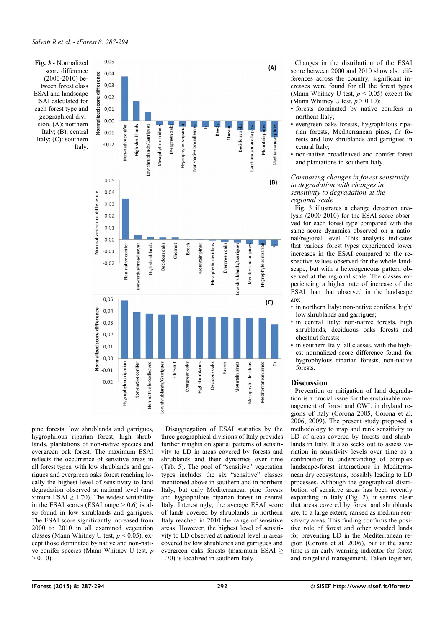<span id="page-5-0"></span>

pine forests, low shrublands and garrigues, hygrophilous riparian forest, high shrublands, plantations of non-native species and evergreen oak forest. The maximum ESAI reflects the occurrence of sensitive areas in all forest types, with low shrublands and garrigues and evergreen oaks forest reaching locally the highest level of sensitivity to land degradation observed at national level (maximum ESAI  $\geq$  1.70). The widest variability in the ESAI scores (ESAI range  $> 0.6$ ) is also found in low shrublands and garrigues. The ESAI score significantly increased from 2000 to 2010 in all examined vegetation classes (Mann Whitney U test, *p* < 0.05), except those dominated by native and non-native conifer species (Mann Whitney U test, *p*  $> 0.10$ ).

Disaggregation of ESAI statistics by the three geographical divisions of Italy provides further insights on spatial patterns of sensitivity to LD in areas covered by forests and shrublands and their dynamics over time [\(Tab. 5\)](#page-4-1). The pool of "sensitive" vegetation types includes the six "sensitive" classes mentioned above in southern and in northern Italy, but only Mediterranean pine forests and hygrophilous riparian forest in central Italy. Interestingly, the average ESAI score of lands covered by shrublands in northern Italy reached in 2010 the range of sensitive areas. However, the highest level of sensitivity to LD observed at national level in areas covered by low shrublands and garrigues and evergreen oaks forests (maximum ESAI ≥ 1.70) is localized in southern Italy.

Changes in the distribution of the ESAI score between 2000 and 2010 show also differences across the country; significant increases were found for all the forest types (Mann Whitney U test, *p* < 0.05) except for (Mann Whitney U test,  $p > 0.10$ ):

- forests dominated by native conifers in northern Italy;
- evergreen oaks forests, hygrophilous riparian forests, Mediterranean pines, fir forests and low shrublands and garrigues in central Italy;
- non-native broadleaved and conifer forest and plantations in southern Italy.

#### *Comparing changes in forest sensitivity to degradation with changes in sensitivity to degradation at the regional scale*

[Fig. 3](#page-5-0) illustrates a change detection analysis (2000-2010) for the ESAI score observed for each forest type compared with the same score dynamics observed on a national/regional level. This analysis indicates that various forest types experienced lower increases in the ESAI compared to the respective values observed for the whole landscape, but with a heterogeneous pattern observed at the regional scale. The classes experiencing a higher rate of increase of the ESAI than that observed in the landscape are:

- in northern Italy: non-native conifers, high/ low shrublands and garrigues;
- in central Italy: non-native forests, high shrublands, deciduous oaks forests and chestnut forests;
- in southern Italy: all classes, with the highest normalized score difference found for hygrophylous riparian forests, non-native forests.

# **Discussion**

Prevention or mitigation of land degradation is a crucial issue for the sustainable management of forest and OWL in dryland regions of Italy (Corona 2005, Corona et al. 2006, 2009). The present study proposed a methodology to map and rank sensitivity to LD of areas covered by forests and shrublands in Italy. It also seeks out to assess variation in sensitivity levels over time as a contribution to understanding of complex landscape-forest interactions in Mediterranean dry ecosystems, possibly leading to LD processes. Although the geographical distribution of sensitive areas has been recently expanding in Italy [\(Fig. 2\)](#page-3-0), it seems clear that areas covered by forest and shrublands are, to a large extent, ranked as medium sensitivity areas. This finding confirms the positive role of forest and other wooded lands for preventing LD in the Mediterranean region (Corona et al. 2006), but at the same time is an early warning indicator for forest and rangeland management. Taken together,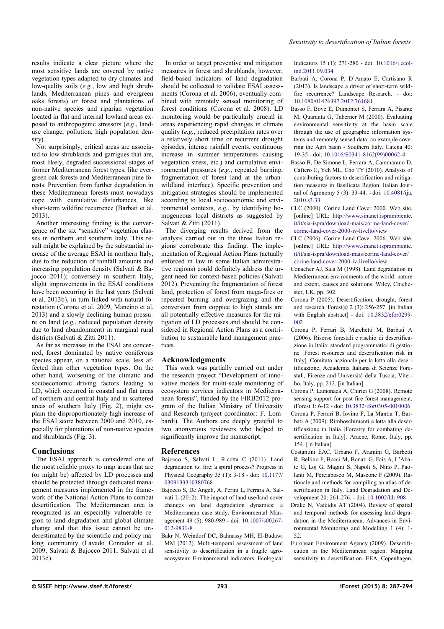results indicate a clear picture where the most sensitive lands are covered by native vegetation types adapted to dry climates and low-quality soils (*e.g.*, low and high shrublands, Mediterranean pines and evergreen oaks forests) or forest and plantations of non-native species and riparian vegetation located in flat and internal lowland areas exposed to anthropogenic stressors (*e.g.*, landuse change, pollution, high population density).

Not surprisingly, critical areas are associated to low shrublands and garrigues that are, most likely, degraded successional stages of former Mediterranean forest types, like evergreen oak forests and Mediterranean pine forests. Prevention from further degradation in these Mediterranean forests must nowadays cope with cumulative disturbances, like short-term wildfire recurrence (Barbati et al. 2013).

Another interesting finding is the convergence of the six "sensitive" vegetation classes in northern and southern Italy. This result might be explained by the substantial increase of the average ESAI in northern Italy, due to the reduction of rainfall amounts and increasing population density (Salvati & Bajocco 2011); conversely in southern Italy, slight improvements in the ESAI conditions have been occurring in the last years (Salvati et al. 2013b), in turn linked with natural forestation (Corona et al. 2009, Mancino et al. 2013) and a slowly declining human pressure on land (*e.g.*, reduced population density due to land abandonment) in marginal rural districts (Salvati & Zitti 2011).

As far as increases in the ESAI are concerned, forest dominated by native coniferous species appear, on a national scale, less affected than other vegetation types. On the other hand, worsening of the climatic and socioeconomic driving factors leading to LD, which occurred in coastal and flat areas of northern and central Italy and in scattered areas of southern Italy [\(Fig. 2\)](#page-3-0), might explain the disproportionately high increase of the ESAI score between 2000 and 2010, especially for plantations of non-native species and shrublands [\(Fig. 3\)](#page-5-0).

## **Conclusions**

The ESAI approach is considered one of the most reliable proxy to map areas that are (or might be) affected by LD processes and should be protected through dedicated management measures implemented in the framework of the National Action Plans to combat desertification. The Mediterranean area is recognized as an especially vulnerable region to land degradation and global climate change and that this issue cannot be underestimated by the scientific and policy making community (Lavado Contador et al. 2009, Salvati & Bajocco 2011, Salvati et al 2013d).

In order to target preventive and mitigation measures in forest and shrublands, however, field-based indicators of land degradation should be collected to validate ESAI assessments (Corona et al. 2006), eventually combined with remotely sensed monitoring of forest conditions (Corona et al. 2008). LD monitoring would be particularly crucial in areas experiencing rapid changes in climate quality (*e.g.*, reduced precipitation rates over a relatively short time or recurrent drought episodes, intense rainfall events, continuous increase in summer temperatures causing vegetation stress, etc.) and cumulative environmental pressures (*e.g.*, repeated burning, fragmentation of forest land at the urbanwildland interface). Specific prevention and mitigation strategies should be implemented according to local socioeconomic and environmental contexts, *e.g.*, by identifying homogeneous local districts as suggested by Salvati & Zitti (2011).

The diverging results derived from the analysis carried out in the three Italian regions corroborate this finding. The implementation of Regional Action Plans (actually enforced in law in some Italian administrative regions) could definitely address the urgent need for context-based policies (Salvati 2012). Preventing the fragmentation of forest land, protection of forest from mega-fires or repeated burning and overgrazing and the conversion from coppice to high stands are all potentially effective measures for the mitigation of LD processes and should be considered in Regional Action Plans as a contribution to sustainable land management practices.

## **Acknowledgments**

This work was partially carried out under the research project "Development of innovative models for multi-scale monitoring of ecosystem services indicators in Mediterranean forests", funded by the FIRB2012 program of the Italian Ministry of University and Research (project coordinator: F. Lombardi). The Authors are deeply grateful to two anonymous reviewers who helped to significantly improve the manuscript.

## **References**

- Bajocco S, Salvati L, Ricotta C (2011). Land degradation *vs.* fire: a spiral process? Progress in Physical Geography 35 (1): 3-18 - doi: [10.1177/](http://dx.doi.org/10.1177/0309133310380768) [0309133310380768](http://dx.doi.org/10.1177/0309133310380768)
- Bajocco S, De Angeli, A, Perini L, Ferrara A, Salvati L (2012). The impact of land use/land cover changes on land degradation dynamics: a Mediterranean case study. Environmental Management 49 (5): 980-989 - doi: [10.1007/s00267-](http://dx.doi.org/10.1007/s00267-012-9831-8) [012-9831-8](http://dx.doi.org/10.1007/s00267-012-9831-8)
- Bakr N, Weindorf DC, Bahnassy MH, El-Badawi MM (2012). Multi-temporal assessment of land sensitivity to desertification in a fragile agroecosystem: Environmental indicators. Ecological

Indicators 15 (1): 271-280 - doi: [10.1016/j.ecol](http://dx.doi.org/10.1016/j.ecolind.2011.09.034)[ind.2011.09.034](http://dx.doi.org/10.1016/j.ecolind.2011.09.034)

- Barbati A, Corona P, D'Amato E, Cartisano R (2013). Is landscape a driver of short-term wildfire recurrence? Landscape Research. - doi: [10.1080/01426397.2012.761681](http://dx.doi.org/10.1080/01426397.2012.761681)
- Basso F, Bove E, Dumontet S, Ferrara A, Pisante M, Quaranta G, Taberner M (2000). Evaluating environmental sensitivity at the basin scale through the use of geographic information systems and remotely sensed data: an example covering the Agri basin - Southern Italy. Catena 40: 19-35 - doi: [10.1016/S0341-8162\(99\)00062-4](http://dx.doi.org/10.1016/S0341-8162(99)00062-4)
- Basso B, De Simone L, Ferrara A, Cammarano D, Cafiero G, Yeh ML, Cho TY (2010). Analysis of contributing factors to desertification and mitigation measures in Basilicata Region. Italian Journal of Agronomy 5 (3): 33-44. - doi: [10.4081/ija.](http://dx.doi.org/10.4081/ija.2010.s3.33) [2010.s3.33](http://dx.doi.org/10.4081/ija.2010.s3.33)
- CLC (2000). Corine Land Cover 2000. Web site. [online] URL: [http://www.sinanet.isprambiente.](http://www.sinanet.isprambiente.it/it/sia-ispra/download-mais/corine-land-cover/corine-land-cover-2000-iv-livello/view) [it/it/sia-ispra/download-mais/corine-land-cover/](http://www.sinanet.isprambiente.it/it/sia-ispra/download-mais/corine-land-cover/corine-land-cover-2000-iv-livello/view) [corine-land-cover-2000-iv-livello/view](http://www.sinanet.isprambiente.it/it/sia-ispra/download-mais/corine-land-cover/corine-land-cover-2000-iv-livello/view)
- CLC (2006). Corine Land Cover 2006. Web site. [online] URL: [http://www.sinanet.isprambiente.](http://www.sinanet.isprambiente.it/it/sia-ispra/download-mais/corine-land-cover/corine-land-cover-2000-iv-livello/view) [it/it/sia-ispra/download-mais/corine-land-cover/](http://www.sinanet.isprambiente.it/it/sia-ispra/download-mais/corine-land-cover/corine-land-cover-2000-iv-livello/view) [corine-land-cover-2000-iv-livello/view](http://www.sinanet.isprambiente.it/it/sia-ispra/download-mais/corine-land-cover/corine-land-cover-2000-iv-livello/view)
- Conacher AJ, Sala M (1998). Land degradation in Mediterranean environments of the world: nature and extent, causes and solutions. Wiley, Chichester, UK, pp. 302.
- Corona P (2005). Desertification, drought, forest and research. Forest $(a)$  2 (3): 256-257. [in Italian with English abstract] - doi: [10.3832/efor0299-](http://dx.doi.org/10.3832/efor0299-002) [002](http://dx.doi.org/10.3832/efor0299-002)
- Corona P, Ferrari B, Marchetti M, Barbati A (2006). Risorse forestali e rischio di desertificazione in Italia: standard programmatici di gestione [Forest resources and desertification risk in Italy]. Comitato nazionale per la lotta alla desertificazione, Accademia Italiana di Scienze Forestali, Firenze and Università della Tuscia, Viterbo, Italy, pp. 212. [in Italian]
- Corona P, Lamonaca A, Chirici G (2008). Remote sensing support for post fire forest management. iForest 1: 6-12 - doi: [10.3832/ifor0305-0010006](http://dx.doi.org/10.3832/ifor0305-0010006)
- Corona P, Ferrari B, Iovino F, La Mantia T, Barbati A (2009). Rimboschimenti e lotta alla desertificazione in Italia [Forestry for combating desertification in Italy]. Aracne, Rome, Italy, pp. 154. [in Italian]
- Costantini EAC, Urbano F, Aramini G, Barbetti R, Bellino F, Bocci M, Bonati G, Fais A, L'Abate G, Loj G, Magini S, Napoli S, Nino P, Paolanti M, Perciabosco M, Mascone F (2009). Rationale and methods for compiling an atlas of desertification in Italy. Land Degradation and Development 20: 261-276. - doi: [10.1002/ldr.908](http://dx.doi.org/10.1002/ldr.908)
- Drake N, Vafeidis AT (2004). Review of spatial and temporal methods for assessing land degradation in the Mediterranean. Advances in Environmental Monitoring and Modelling 1 (4): 1- 52.
- European Environment Agency (2009). Desertification in the Mediterranean region. Mapping sensitivity to desertification. EEA, Copenhagen,